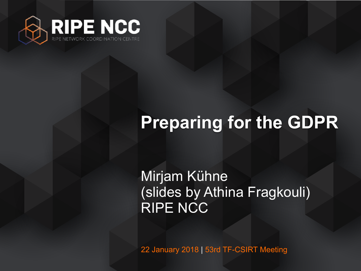

# **Preparing for the GDPR**

Mirjam Kühne (slides by Athina Fragkouli) RIPE NCC

22 January 2018 | 53rd TF-CSIRT Meeting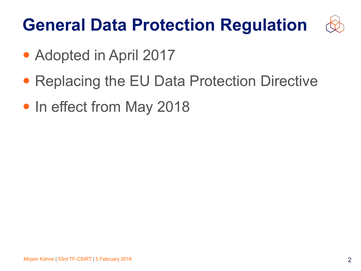# **General Data Protection Regulation**



- Adopted in April 2017
- Replacing the EU Data Protection Directive
- In effect from May 2018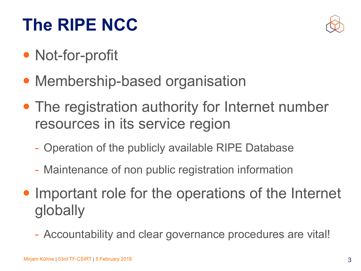## **The RIPE NCC**



- Not-for-profit
- Membership-based organisation
- The registration authority for Internet number resources in its service region
	- Operation of the publicly available RIPE Database
	- Maintenance of non public registration information
- Important role for the operations of the Internet globally
	- Accountability and clear governance procedures are vital!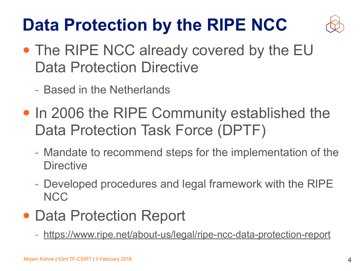# **Data Protection by the RIPE NCC**



- The RIPE NCC already covered by the EU Data Protection Directive
	- Based in the Netherlands
- In 2006 the RIPE Community established the Data Protection Task Force (DPTF)
	- Mandate to recommend steps for the implementation of the **Directive**
	- Developed procedures and legal framework with the RIPE **NCC**
- Data Protection Report
	- <https://www.ripe.net/about-us/legal/ripe-ncc-data-protection-report>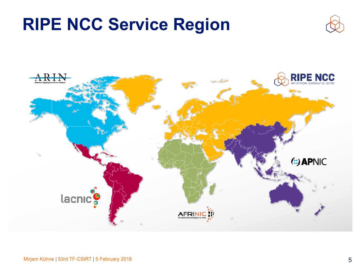#### **RIPE NCC Service Region**



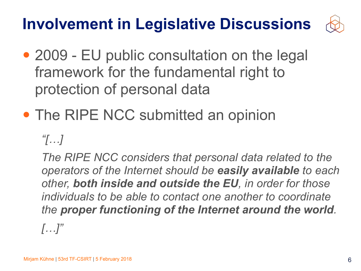#### **Involvement in Legislative Discussions**



- 2009 EU public consultation on the legal framework for the fundamental right to protection of personal data
- The RIPE NCC submitted an opinion

*"[…]* 

*The RIPE NCC considers that personal data related to the operators of the Internet should be easily available to each other, both inside and outside the EU, in order for those individuals to be able to contact one another to coordinate the proper functioning of the Internet around the world.*

*[…]"*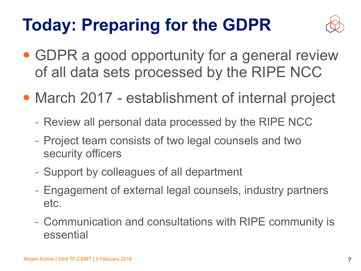# **Today: Preparing for the GDPR**



- GDPR a good opportunity for a general review of all data sets processed by the RIPE NCC
- March 2017 establishment of internal project
	- Review all personal data processed by the RIPE NCC
	- Project team consists of two legal counsels and two security officers
	- Support by colleagues of all department
	- Engagement of external legal counsels, industry partners etc.
	- Communication and consultations with RIPE community is essential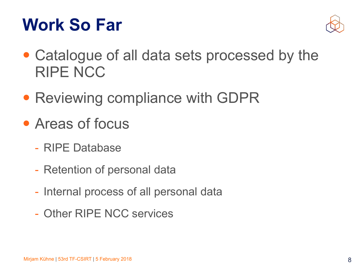#### **Work So Far**



- Catalogue of all data sets processed by the RIPE NCC
- Reviewing compliance with GDPR
- Areas of focus
	- RIPE Database
	- Retention of personal data
	- Internal process of all personal data
	- Other RIPE NCC services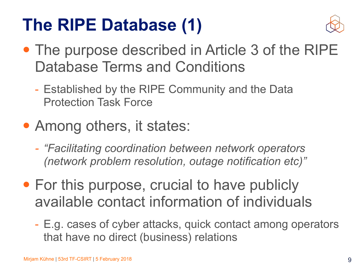#### **The RIPE Database (1)**



- The purpose described in Article 3 of the RIPE Database Terms and Conditions
	- Established by the RIPE Community and the Data Protection Task Force
- Among others, it states:
	- *- "Facilitating coordination between network operators (network problem resolution, outage notification etc)"*
- For this purpose, crucial to have publicly available contact information of individuals
	- E.g. cases of cyber attacks, quick contact among operators that have no direct (business) relations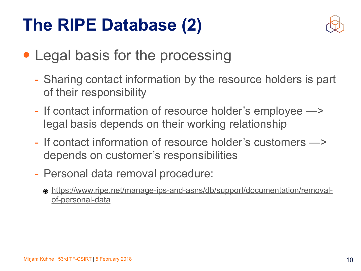#### **The RIPE Database (2)**



- Legal basis for the processing
	- Sharing contact information by the resource holders is part of their responsibility
	- If contact information of resource holder's employee —> legal basis depends on their working relationship
	- If contact information of resource holder's customers —> depends on customer's responsibilities
	- Personal data removal procedure:
		- ๏ [https://www.ripe.net/manage-ips-and-asns/db/support/documentation/removal](https://www.ripe.net/manage-ips-and-asns/db/support/documentation/removal-of-personal-data)[of-personal-data](https://www.ripe.net/manage-ips-and-asns/db/support/documentation/removal-of-personal-data)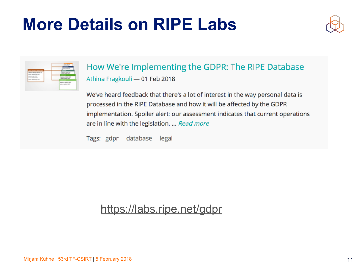#### **More Details on RIPE Labs**



| <b>COLORADO DE CASO</b> | <b>Seller State Corp.</b> |
|-------------------------|---------------------------|
| allocal dealerships and | Market Company Address    |
|                         | <b>MAIL BOX</b><br>-      |
|                         |                           |

#### How We're Implementing the GDPR: The RIPE Database Athina Fragkouli - 01 Feb 2018

We've heard feedback that there's a lot of interest in the way personal data is processed in the RIPE Database and how it will be affected by the GDPR implementation. Spoiler alert: our assessment indicates that current operations are in line with the legislation. ... Read more

Tags: gdpr database legal

#### <https://labs.ripe.net/gdpr>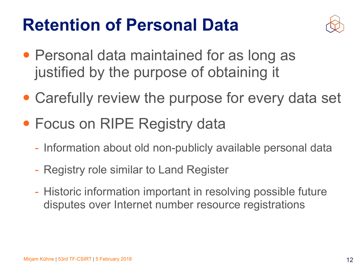#### **Retention of Personal Data**



- Personal data maintained for as long as justified by the purpose of obtaining it
- Carefully review the purpose for every data set
- Focus on RIPE Registry data
	- Information about old non-publicly available personal data
	- Registry role similar to Land Register
	- Historic information important in resolving possible future disputes over Internet number resource registrations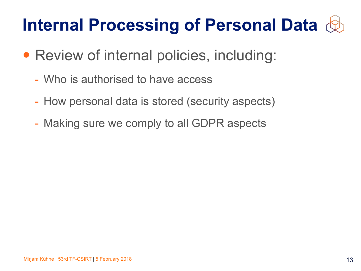# **Internal Processing of Personal Data**

- Review of internal policies, including:
	- Who is authorised to have access
	- How personal data is stored (security aspects)
	- Making sure we comply to all GDPR aspects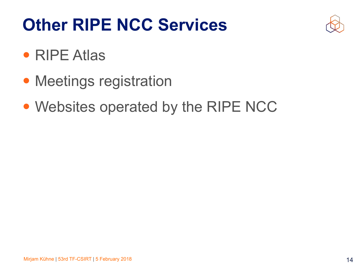## **Other RIPE NCC Services**



- RIPE Atlas
- Meetings registration
- Websites operated by the RIPE NCC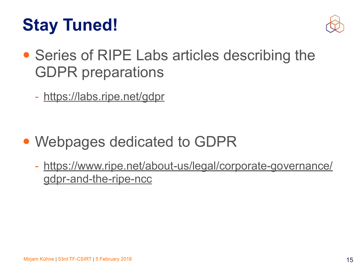## **Stay Tuned!**



- Series of RIPE Labs articles describing the GDPR preparations
	- <https://labs.ripe.net/gdpr>

- Webpages dedicated to GDPR
	- [https://www.ripe.net/about-us/legal/corporate-governance/](https://www.ripe.net/about-us/legal/corporate-governance/gdpr-and-the-ripe-ncc) [gdpr-and-the-ripe-ncc](https://www.ripe.net/about-us/legal/corporate-governance/gdpr-and-the-ripe-ncc)